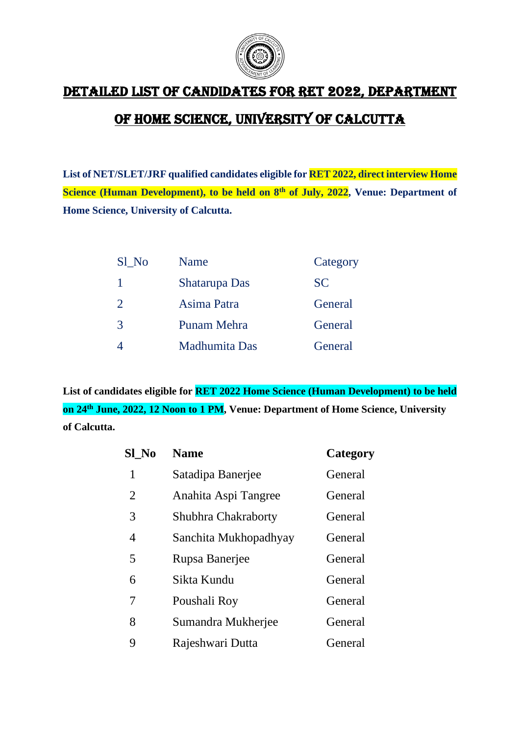

## Detailed list of candidates for RET 2022, Department

## of Home Science, University of Calcutta

**List of NET/SLET/JRF qualified candidates eligible for RET 2022, direct interview Home Science (Human Development), to be held on 8th of July, 2022, Venue: Department of Home Science, University of Calcutta.**

| Sl No | Name          | Category  |
|-------|---------------|-----------|
| 1     | Shatarupa Das | <b>SC</b> |
| 2     | Asima Patra   | General   |
| 3     | Punam Mehra   | General   |
| 4     | Madhumita Das | General   |

**List of candidates eligible for RET 2022 Home Science (Human Development) to be held on 24th June, 2022, 12 Noon to 1 PM, Venue: Department of Home Science, University of Calcutta.**

| Sl No | <b>Name</b>           | Category |
|-------|-----------------------|----------|
| 1     | Satadipa Banerjee     | General  |
| 2     | Anahita Aspi Tangree  | General  |
| 3     | Shubhra Chakraborty   | General  |
| 4     | Sanchita Mukhopadhyay | General  |
| 5     | Rupsa Banerjee        | General  |
| 6     | Sikta Kundu           | General  |
| 7     | Poushali Roy          | General  |
| 8     | Sumandra Mukherjee    | General  |
| 9     | Rajeshwari Dutta      | General  |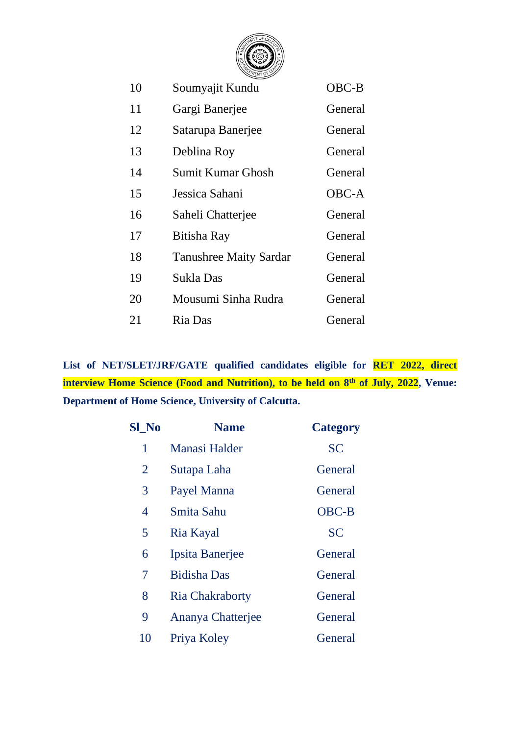

| 10 | Soumyajit Kundu               | OBC-B        |
|----|-------------------------------|--------------|
| 11 | Gargi Banerjee                | General      |
| 12 | Satarupa Banerjee             | General      |
| 13 | Deblina Roy                   | General      |
| 14 | Sumit Kumar Ghosh             | General      |
| 15 | Jessica Sahani                | <b>OBC-A</b> |
| 16 | Saheli Chatterjee             | General      |
| 17 | Bitisha Ray                   | General      |
| 18 | <b>Tanushree Maity Sardar</b> | General      |
| 19 | Sukla Das                     | General      |
| 20 | Mousumi Sinha Rudra           | General      |
| 21 | Ria Das                       | General      |

**List of NET/SLET/JRF/GATE qualified candidates eligible for RET 2022, direct interview Home Science (Food and Nutrition), to be held on 8th of July, 2022, Venue: Department of Home Science, University of Calcutta.**

| <b>Sl</b> No   | <b>Name</b>            | <b>Category</b> |
|----------------|------------------------|-----------------|
| 1              | <b>Manasi Halder</b>   | <b>SC</b>       |
| $\overline{2}$ | Sutapa Laha            | General         |
| 3              | Payel Manna            | General         |
| 4              | Smita Sahu             | <b>OBC-B</b>    |
| 5              | Ria Kayal              | <b>SC</b>       |
| 6              | Ipsita Banerjee        | General         |
| 7              | <b>Bidisha Das</b>     | General         |
| 8              | <b>Ria Chakraborty</b> | General         |
| 9              | Ananya Chatterjee      | General         |
| 10             | Priya Koley            | General         |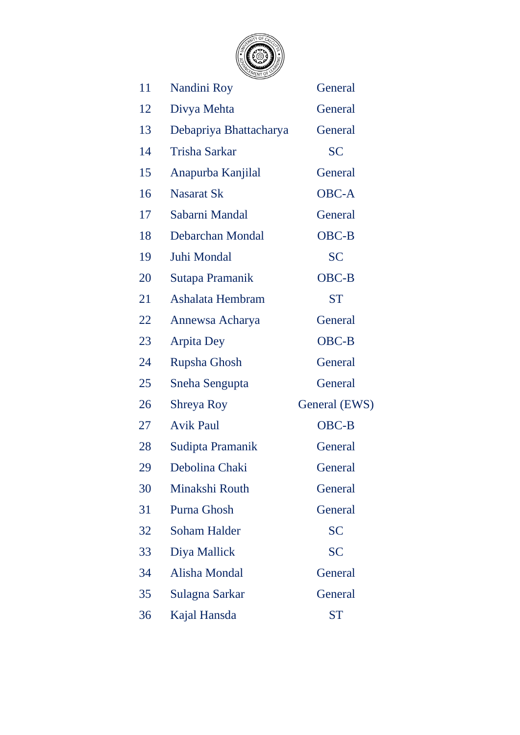

| 11 | Nandini Roy            | General       |
|----|------------------------|---------------|
| 12 | Divya Mehta            | General       |
| 13 | Debapriya Bhattacharya | General       |
| 14 | <b>Trisha Sarkar</b>   | <b>SC</b>     |
| 15 | Anapurba Kanjilal      | General       |
| 16 | <b>Nasarat Sk</b>      | <b>OBC-A</b>  |
| 17 | Sabarni Mandal         | General       |
| 18 | Debarchan Mondal       | <b>OBC-B</b>  |
| 19 | Juhi Mondal            | <b>SC</b>     |
| 20 | Sutapa Pramanik        | <b>OBC-B</b>  |
| 21 | Ashalata Hembram       | <b>ST</b>     |
| 22 | Annewsa Acharya        | General       |
| 23 | <b>Arpita Dey</b>      | OBC-B         |
| 24 | <b>Rupsha Ghosh</b>    | General       |
| 25 | Sneha Sengupta         | General       |
| 26 | Shreya Roy             | General (EWS) |
| 27 | <b>Avik Paul</b>       | <b>OBC-B</b>  |
| 28 | Sudipta Pramanik       | General       |
| 29 | Debolina Chaki         | General       |
| 30 | Minakshi Routh         | General       |
| 31 | <b>Purna Ghosh</b>     | General       |
| 32 | <b>Soham Halder</b>    | <b>SC</b>     |
| 33 | Diya Mallick           | <b>SC</b>     |
| 34 | Alisha Mondal          | General       |
| 35 | Sulagna Sarkar         | General       |
| 36 | Kajal Hansda           | <b>ST</b>     |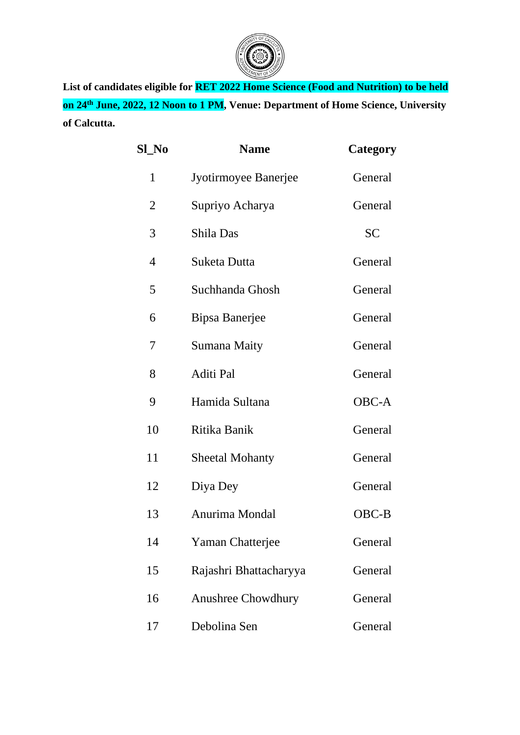

**List of candidates eligible for RET 2022 Home Science (Food and Nutrition) to be held on 24th June, 2022, 12 Noon to 1 PM, Venue: Department of Home Science, University of Calcutta.**

| <b>Sl_No</b>   | <b>Name</b>               | <b>Category</b> |
|----------------|---------------------------|-----------------|
| 1              | Jyotirmoyee Banerjee      | General         |
| $\overline{2}$ | Supriyo Acharya           | General         |
| 3              | Shila Das                 | <b>SC</b>       |
| 4              | Suketa Dutta              | General         |
| 5              | Suchhanda Ghosh           | General         |
| 6              | Bipsa Banerjee            | General         |
| 7              | <b>Sumana Maity</b>       | General         |
| 8              | <b>Aditi Pal</b>          | General         |
| 9              | Hamida Sultana            | <b>OBC-A</b>    |
| 10             | Ritika Banik              | General         |
| 11             | <b>Sheetal Mohanty</b>    | General         |
| 12             | Diya Dey                  | General         |
| 13             | Anurima Mondal            | $OBC-B$         |
| 14             | Yaman Chatterjee          | General         |
| 15             | Rajashri Bhattacharyya    | General         |
| 16             | <b>Anushree Chowdhury</b> | General         |
| 17             | Debolina Sen              | General         |